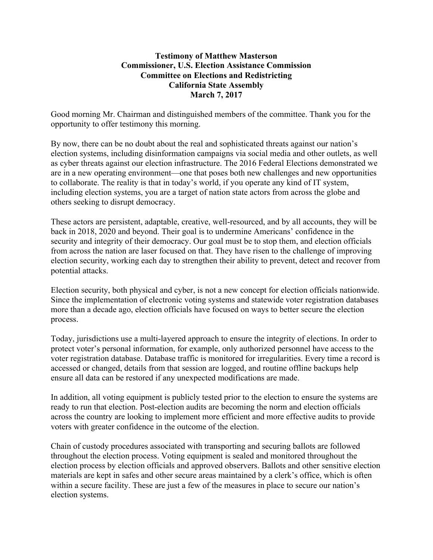## **Testimony of Matthew Masterson Commissioner, U.S. Election Assistance Commission Committee on Elections and Redistricting California State Assembly March 7, 2017**

Good morning Mr. Chairman and distinguished members of the committee. Thank you for the opportunity to offer testimony this morning.

By now, there can be no doubt about the real and sophisticated threats against our nation's election systems, including disinformation campaigns via social media and other outlets, as well as cyber threats against our election infrastructure. The 2016 Federal Elections demonstrated we are in a new operating environment—one that poses both new challenges and new opportunities to collaborate. The reality is that in today's world, if you operate any kind of IT system, including election systems, you are a target of nation state actors from across the globe and others seeking to disrupt democracy.

These actors are persistent, adaptable, creative, well-resourced, and by all accounts, they will be back in 2018, 2020 and beyond. Their goal is to undermine Americans' confidence in the security and integrity of their democracy. Our goal must be to stop them, and election officials from across the nation are laser focused on that. They have risen to the challenge of improving election security, working each day to strengthen their ability to prevent, detect and recover from potential attacks.

Election security, both physical and cyber, is not a new concept for election officials nationwide. Since the implementation of electronic voting systems and statewide voter registration databases more than a decade ago, election officials have focused on ways to better secure the election process.

Today, jurisdictions use a multi-layered approach to ensure the integrity of elections. In order to protect voter's personal information, for example, only authorized personnel have access to the voter registration database. Database traffic is monitored for irregularities. Every time a record is accessed or changed, details from that session are logged, and routine offline backups help ensure all data can be restored if any unexpected modifications are made.

In addition, all voting equipment is publicly tested prior to the election to ensure the systems are ready to run that election. Post-election audits are becoming the norm and election officials across the country are looking to implement more efficient and more effective audits to provide voters with greater confidence in the outcome of the election.

Chain of custody procedures associated with transporting and securing ballots are followed throughout the election process. Voting equipment is sealed and monitored throughout the election process by election officials and approved observers. Ballots and other sensitive election materials are kept in safes and other secure areas maintained by a clerk's office, which is often within a secure facility. These are just a few of the measures in place to secure our nation's election systems.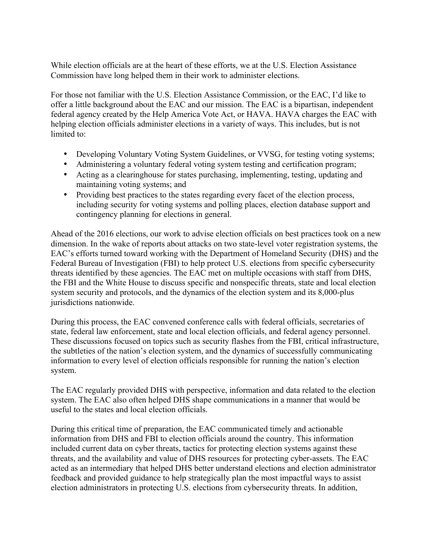While election officials are at the heart of these efforts, we at the U.S. Election Assistance Commission have long helped them in their work to administer elections.

For those not familiar with the U.S. Election Assistance Commission, or the EAC, I'd like to offer a little background about the EAC and our mission. The EAC is a bipartisan, independent federal agency created by the Help America Vote Act, or HAVA. HAVA charges the EAC with helping election officials administer elections in a variety of ways. This includes, but is not limited to:

- Developing Voluntary Voting System Guidelines, or VVSG, for testing voting systems;
- Administering a voluntary federal voting system testing and certification program;
- Acting as a clearinghouse for states purchasing, implementing, testing, updating and maintaining voting systems; and
- Providing best practices to the states regarding every facet of the election process, including security for voting systems and polling places, election database support and contingency planning for elections in general.

Ahead of the 2016 elections, our work to advise election officials on best practices took on a new dimension. In the wake of reports about attacks on two state-level voter registration systems, the EAC's efforts turned toward working with the Department of Homeland Security (DHS) and the Federal Bureau of Investigation (FBI) to help protect U.S. elections from specific cybersecurity threats identified by these agencies. The EAC met on multiple occasions with staff from DHS, the FBI and the White House to discuss specific and nonspecific threats, state and local election system security and protocols, and the dynamics of the election system and its 8,000-plus jurisdictions nationwide.

During this process, the EAC convened conference calls with federal officials, secretaries of state, federal law enforcement, state and local election officials, and federal agency personnel. These discussions focused on topics such as security flashes from the FBI, critical infrastructure, the subtleties of the nation's election system, and the dynamics of successfully communicating information to every level of election officials responsible for running the nation's election system.

The EAC regularly provided DHS with perspective, information and data related to the election system. The EAC also often helped DHS shape communications in a manner that would be useful to the states and local election officials.

During this critical time of preparation, the EAC communicated timely and actionable information from DHS and FBI to election officials around the country. This information included current data on cyber threats, tactics for protecting election systems against these threats, and the availability and value of DHS resources for protecting cyber-assets. The EAC acted as an intermediary that helped DHS better understand elections and election administrator feedback and provided guidance to help strategically plan the most impactful ways to assist election administrators in protecting U.S. elections from cybersecurity threats. In addition,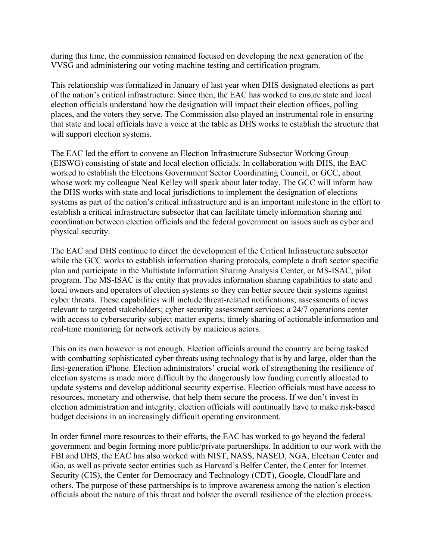during this time, the commission remained focused on developing the next generation of the VVSG and administering our voting machine testing and certification program.

This relationship was formalized in January of last year when DHS designated elections as part of the nation's critical infrastructure. Since then, the EAC has worked to ensure state and local election officials understand how the designation will impact their election offices, polling places, and the voters they serve. The Commission also played an instrumental role in ensuring that state and local officials have a voice at the table as DHS works to establish the structure that will support election systems.

The EAC led the effort to convene an Election Infrastructure Subsector Working Group (EISWG) consisting of state and local election officials. In collaboration with DHS, the EAC worked to establish the Elections Government Sector Coordinating Council, or GCC, about whose work my colleague Neal Kelley will speak about later today. The GCC will inform how the DHS works with state and local jurisdictions to implement the designation of elections systems as part of the nation's critical infrastructure and is an important milestone in the effort to establish a critical infrastructure subsector that can facilitate timely information sharing and coordination between election officials and the federal government on issues such as cyber and physical security.

The EAC and DHS continue to direct the development of the Critical Infrastructure subsector while the GCC works to establish information sharing protocols, complete a draft sector specific plan and participate in the Multistate Information Sharing Analysis Center, or MS-ISAC, pilot program. The MS-ISAC is the entity that provides information sharing capabilities to state and local owners and operators of election systems so they can better secure their systems against cyber threats. These capabilities will include threat-related notifications; assessments of news relevant to targeted stakeholders; cyber security assessment services; a 24/7 operations center with access to cybersecurity subject matter experts; timely sharing of actionable information and real-time monitoring for network activity by malicious actors.

This on its own however is not enough. Election officials around the country are being tasked with combatting sophisticated cyber threats using technology that is by and large, older than the first-generation iPhone. Election administrators' crucial work of strengthening the resilience of election systems is made more difficult by the dangerously low funding currently allocated to update systems and develop additional security expertise. Election officials must have access to resources, monetary and otherwise, that help them secure the process. If we don't invest in election administration and integrity, election officials will continually have to make risk-based budget decisions in an increasingly difficult operating environment.

In order funnel more resources to their efforts, the EAC has worked to go beyond the federal government and begin forming more public/private partnerships. In addition to our work with the FBI and DHS, the EAC has also worked with NIST, NASS, NASED, NGA, Election Center and iGo, as well as private sector entities such as Harvard's Belfer Center, the Center for Internet Security (CIS), the Center for Democracy and Technology (CDT), Google, CloudFlare and others. The purpose of these partnerships is to improve awareness among the nation's election officials about the nature of this threat and bolster the overall resilience of the election process.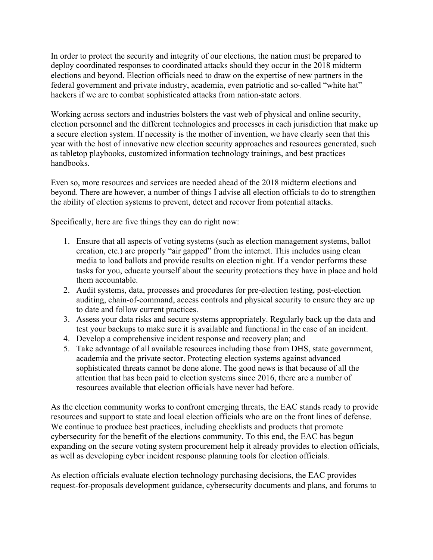In order to protect the security and integrity of our elections, the nation must be prepared to deploy coordinated responses to coordinated attacks should they occur in the 2018 midterm elections and beyond. Election officials need to draw on the expertise of new partners in the federal government and private industry, academia, even patriotic and so-called "white hat" hackers if we are to combat sophisticated attacks from nation-state actors.

Working across sectors and industries bolsters the vast web of physical and online security, election personnel and the different technologies and processes in each jurisdiction that make up a secure election system. If necessity is the mother of invention, we have clearly seen that this year with the host of innovative new election security approaches and resources generated, such as tabletop playbooks, customized information technology trainings, and best practices handbooks.

Even so, more resources and services are needed ahead of the 2018 midterm elections and beyond. There are however, a number of things I advise all election officials to do to strengthen the ability of election systems to prevent, detect and recover from potential attacks.

Specifically, here are five things they can do right now:

- 1. Ensure that all aspects of voting systems (such as election management systems, ballot creation, etc.) are properly "air gapped" from the internet. This includes using clean media to load ballots and provide results on election night. If a vendor performs these tasks for you, educate yourself about the security protections they have in place and hold them accountable.
- 2. Audit systems, data, processes and procedures for pre-election testing, post-election auditing, chain-of-command, access controls and physical security to ensure they are up to date and follow current practices.
- 3. Assess your data risks and secure systems appropriately. Regularly back up the data and test your backups to make sure it is available and functional in the case of an incident.
- 4. Develop a comprehensive incident response and recovery plan; and
- 5. Take advantage of all available resources including those from DHS, state government, academia and the private sector. Protecting election systems against advanced sophisticated threats cannot be done alone. The good news is that because of all the attention that has been paid to election systems since 2016, there are a number of resources available that election officials have never had before.

As the election community works to confront emerging threats, the EAC stands ready to provide resources and support to state and local election officials who are on the front lines of defense. We continue to produce best practices, including checklists and products that promote cybersecurity for the benefit of the elections community. To this end, the EAC has begun expanding on the secure voting system procurement help it already provides to election officials, as well as developing cyber incident response planning tools for election officials.

As election officials evaluate election technology purchasing decisions, the EAC provides request-for-proposals development guidance, cybersecurity documents and plans, and forums to